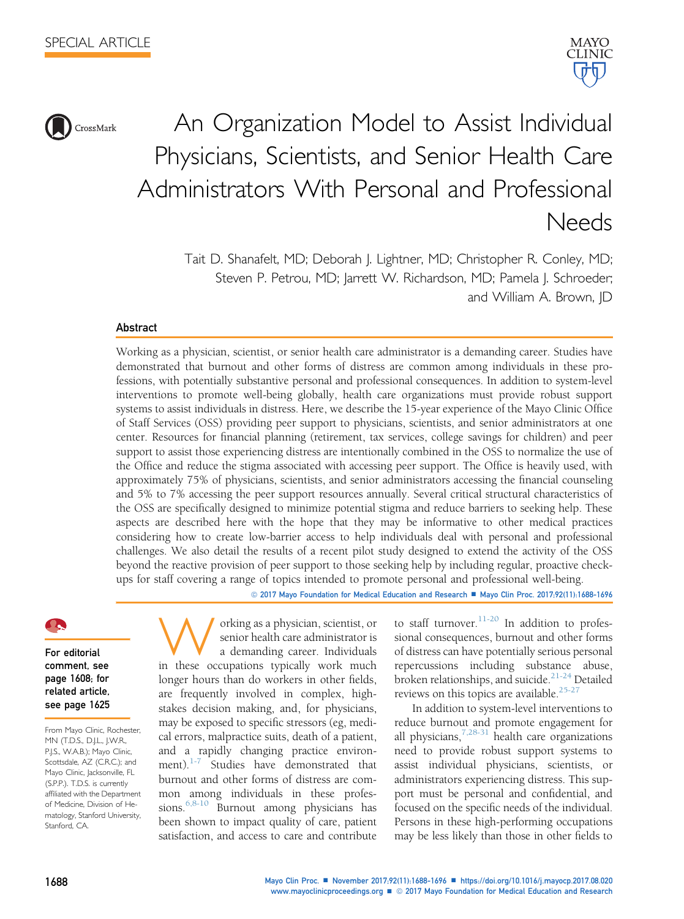

Needs



Tait D. Shanafelt, MD; Deborah J. Lightner, MD; Christopher R. Conley, MD; Steven P. Petrou, MD; Jarrett W. Richardson, MD; Pamela J. Schroeder; and William A. Brown, JD

## Abstract

Working as a physician, scientist, or senior health care administrator is a demanding career. Studies have demonstrated that burnout and other forms of distress are common among individuals in these professions, with potentially substantive personal and professional consequences. In addition to system-level interventions to promote well-being globally, health care organizations must provide robust support systems to assist individuals in distress. Here, we describe the 15-year experience of the Mayo Clinic Office of Staff Services (OSS) providing peer support to physicians, scientists, and senior administrators at one center. Resources for financial planning (retirement, tax services, college savings for children) and peer support to assist those experiencing distress are intentionally combined in the OSS to normalize the use of the Office and reduce the stigma associated with accessing peer support. The Office is heavily used, with approximately 75% of physicians, scientists, and senior administrators accessing the financial counseling and 5% to 7% accessing the peer support resources annually. Several critical structural characteristics of the OSS are specifically designed to minimize potential stigma and reduce barriers to seeking help. These aspects are described here with the hope that they may be informative to other medical practices considering how to create low-barrier access to help individuals deal with personal and professional challenges. We also detail the results of a recent pilot study designed to extend the activity of the OSS beyond the reactive provision of peer support to those seeking help by including regular, proactive checkups for staff covering a range of topics intended to promote personal and professional well-being.

© 2017 Mayo Foundation for Medical Education and Research ■ Mayo Clin Proc. 2017;92(11):1688-1696

For editorial comment, see page 1608; for related article, see page 1625

From Mayo Clinic, Rochester, MN (T.D.S., D.J.L., J.W.R., P.I.S., W.A.B.): Mayo Clinic. Scottsdale, AZ (C.R.C.); and Mayo Clinic, Jacksonville, FL (S.P.P.). T.D.S. is currently affiliated with the Department of Medicine, Division of Hematology, Stanford University, Stanford, CA.

**W** orking as a physician, scientist, or senior health care administrator is a demanding career. Individuals in these occupations typically work much senior health care administrator is a demanding career. Individuals longer hours than do workers in other fields, are frequently involved in complex, highstakes decision making, and, for physicians, may be exposed to specific stressors (eg, medical errors, malpractice suits, death of a patient, and a rapidly changing practice environ-ment).<sup>[1-7](#page-7-0)</sup> Studies have demonstrated that burnout and other forms of distress are common among individuals in these profes-sions.<sup>[6,8-10](#page-7-0)</sup> Burnout among physicians has been shown to impact quality of care, patient satisfaction, and access to care and contribute

to staff turnover. $11-20$  In addition to professional consequences, burnout and other forms of distress can have potentially serious personal repercussions including substance abuse, broken relationships, and suicide.<sup>21-24</sup> Detailed reviews on this topics are available.<sup>[25-27](#page-8-0)</sup>

In addition to system-level interventions to reduce burnout and promote engagement for all physicians,  $7,28-31$  health care organizations need to provide robust support systems to assist individual physicians, scientists, or administrators experiencing distress. This support must be personal and confidential, and focused on the specific needs of the individual. Persons in these high-performing occupations may be less likely than those in other fields to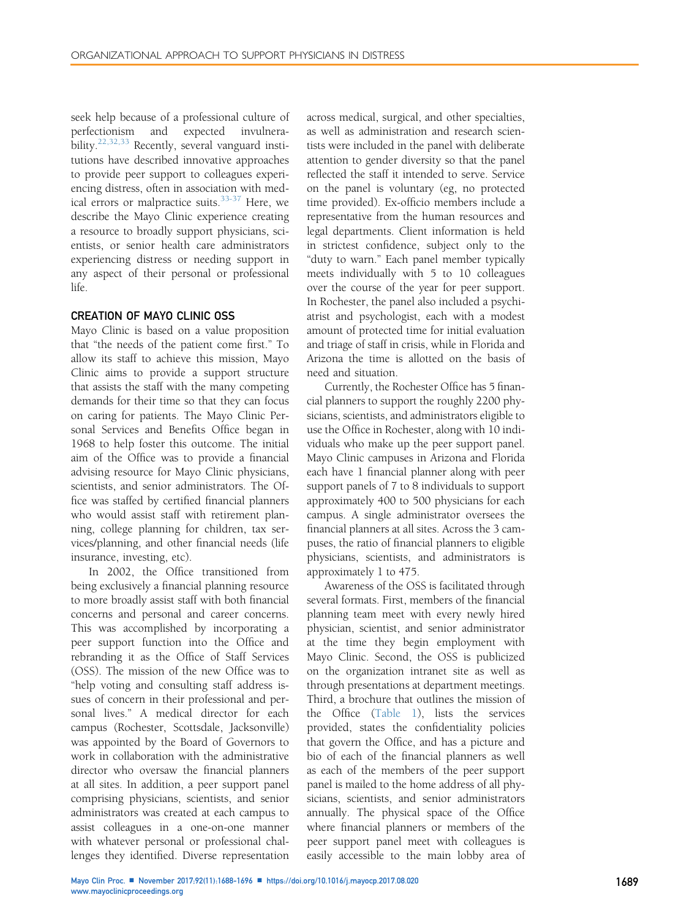seek help because of a professional culture of perfectionism and expected invulnerability.<sup>22,32,33</sup> Recently, several vanguard institutions have described innovative approaches to provide peer support to colleagues experiencing distress, often in association with medical errors or malpractice suits. $33-37$  Here, we describe the Mayo Clinic experience creating a resource to broadly support physicians, scientists, or senior health care administrators experiencing distress or needing support in any aspect of their personal or professional life.

## CREATION OF MAYO CLINIC OSS

Mayo Clinic is based on a value proposition that "the needs of the patient come first." To allow its staff to achieve this mission, Mayo Clinic aims to provide a support structure that assists the staff with the many competing demands for their time so that they can focus on caring for patients. The Mayo Clinic Personal Services and Benefits Office began in 1968 to help foster this outcome. The initial aim of the Office was to provide a financial advising resource for Mayo Clinic physicians, scientists, and senior administrators. The Office was staffed by certified financial planners who would assist staff with retirement planning, college planning for children, tax services/planning, and other financial needs (life insurance, investing, etc).

In 2002, the Office transitioned from being exclusively a financial planning resource to more broadly assist staff with both financial concerns and personal and career concerns. This was accomplished by incorporating a peer support function into the Office and rebranding it as the Office of Staff Services (OSS). The mission of the new Office was to "help voting and consulting staff address issues of concern in their professional and personal lives." A medical director for each campus (Rochester, Scottsdale, Jacksonville) was appointed by the Board of Governors to work in collaboration with the administrative director who oversaw the financial planners at all sites. In addition, a peer support panel comprising physicians, scientists, and senior administrators was created at each campus to assist colleagues in a one-on-one manner with whatever personal or professional challenges they identified. Diverse representation

across medical, surgical, and other specialties, as well as administration and research scientists were included in the panel with deliberate attention to gender diversity so that the panel reflected the staff it intended to serve. Service on the panel is voluntary (eg, no protected time provided). Ex-officio members include a representative from the human resources and legal departments. Client information is held in strictest confidence, subject only to the "duty to warn." Each panel member typically meets individually with 5 to 10 colleagues over the course of the year for peer support. In Rochester, the panel also included a psychiatrist and psychologist, each with a modest amount of protected time for initial evaluation and triage of staff in crisis, while in Florida and Arizona the time is allotted on the basis of need and situation.

Currently, the Rochester Office has 5 financial planners to support the roughly 2200 physicians, scientists, and administrators eligible to use the Office in Rochester, along with 10 individuals who make up the peer support panel. Mayo Clinic campuses in Arizona and Florida each have 1 financial planner along with peer support panels of 7 to 8 individuals to support approximately 400 to 500 physicians for each campus. A single administrator oversees the financial planners at all sites. Across the 3 campuses, the ratio of financial planners to eligible physicians, scientists, and administrators is approximately 1 to 475.

Awareness of the OSS is facilitated through several formats. First, members of the financial planning team meet with every newly hired physician, scientist, and senior administrator at the time they begin employment with Mayo Clinic. Second, the OSS is publicized on the organization intranet site as well as through presentations at department meetings. Third, a brochure that outlines the mission of the Office ([Table 1\)](#page-2-0), lists the services provided, states the confidentiality policies that govern the Office, and has a picture and bio of each of the financial planners as well as each of the members of the peer support panel is mailed to the home address of all physicians, scientists, and senior administrators annually. The physical space of the Office where financial planners or members of the peer support panel meet with colleagues is easily accessible to the main lobby area of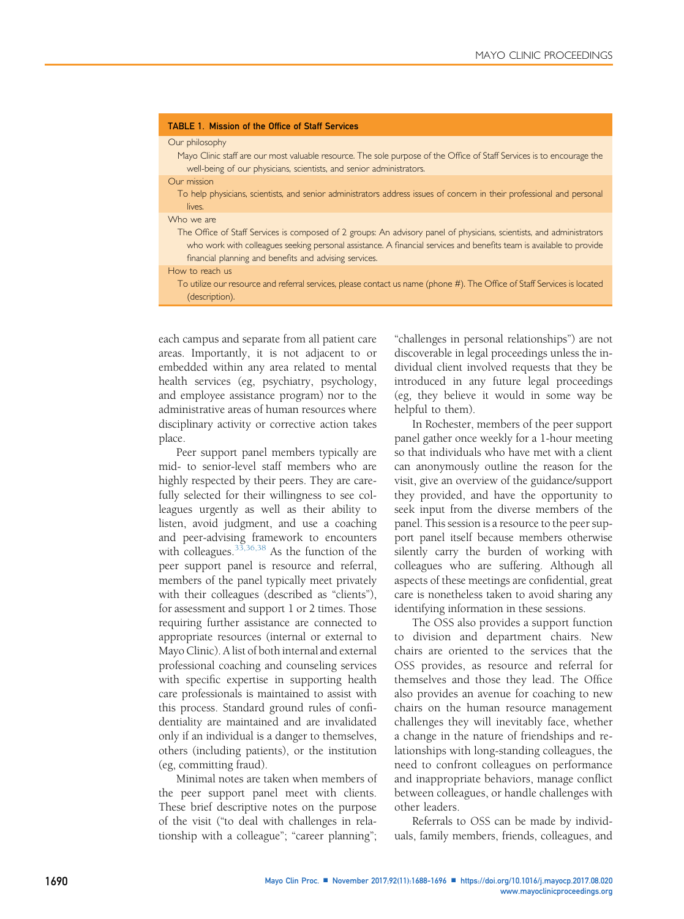## <span id="page-2-0"></span>TABLE 1. Mission of the Office of Staff Services

Our philosophy

Mayo Clinic staff are our most valuable resource. The sole purpose of the Office of Staff Services is to encourage the well-being of our physicians, scientists, and senior administrators.

Our mission

To help physicians, scientists, and senior administrators address issues of concern in their professional and personal lives.

Who we are

The Office of Staff Services is composed of 2 groups: An advisory panel of physicians, scientists, and administrators who work with colleagues seeking personal assistance. A financial services and benefits team is available to provide financial planning and benefits and advising services.

How to reach us

To utilize our resource and referral services, please contact us name (phone #). The Office of Staff Services is located (description).

each campus and separate from all patient care areas. Importantly, it is not adjacent to or embedded within any area related to mental health services (eg, psychiatry, psychology, and employee assistance program) nor to the administrative areas of human resources where disciplinary activity or corrective action takes place.

Peer support panel members typically are mid- to senior-level staff members who are highly respected by their peers. They are carefully selected for their willingness to see colleagues urgently as well as their ability to listen, avoid judgment, and use a coaching and peer-advising framework to encounters with colleagues.<sup>[33,36,38](#page-8-0)</sup> As the function of the peer support panel is resource and referral, members of the panel typically meet privately with their colleagues (described as "clients"), for assessment and support 1 or 2 times. Those requiring further assistance are connected to appropriate resources (internal or external to Mayo Clinic). A list of both internal and external professional coaching and counseling services with specific expertise in supporting health care professionals is maintained to assist with this process. Standard ground rules of confidentiality are maintained and are invalidated only if an individual is a danger to themselves, others (including patients), or the institution (eg, committing fraud).

Minimal notes are taken when members of the peer support panel meet with clients. These brief descriptive notes on the purpose of the visit ("to deal with challenges in relationship with a colleague"; "career planning"; "challenges in personal relationships") are not discoverable in legal proceedings unless the individual client involved requests that they be introduced in any future legal proceedings (eg, they believe it would in some way be helpful to them).

In Rochester, members of the peer support panel gather once weekly for a 1-hour meeting so that individuals who have met with a client can anonymously outline the reason for the visit, give an overview of the guidance/support they provided, and have the opportunity to seek input from the diverse members of the panel. This session is a resource to the peer support panel itself because members otherwise silently carry the burden of working with colleagues who are suffering. Although all aspects of these meetings are confidential, great care is nonetheless taken to avoid sharing any identifying information in these sessions.

The OSS also provides a support function to division and department chairs. New chairs are oriented to the services that the OSS provides, as resource and referral for themselves and those they lead. The Office also provides an avenue for coaching to new chairs on the human resource management challenges they will inevitably face, whether a change in the nature of friendships and relationships with long-standing colleagues, the need to confront colleagues on performance and inappropriate behaviors, manage conflict between colleagues, or handle challenges with other leaders.

Referrals to OSS can be made by individuals, family members, friends, colleagues, and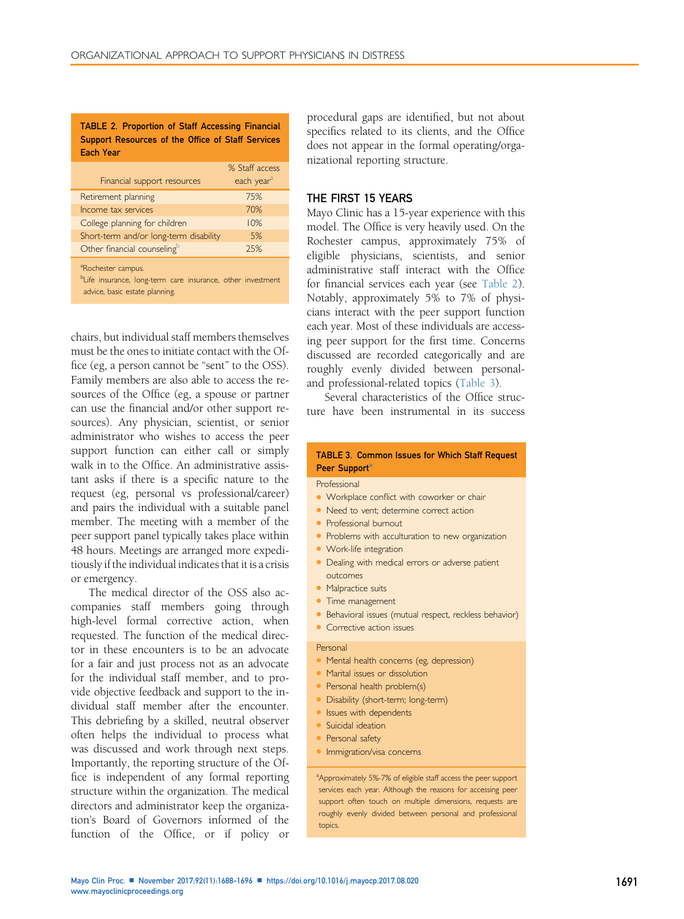## <span id="page-3-0"></span>TABLE 2. Proportion of Staff Accessing Financial Support Resources of the Office of Staff Services Each Year

|                                         | % Staff access         |
|-----------------------------------------|------------------------|
| Financial support resources             | each year <sup>a</sup> |
| Retirement planning                     | 75%                    |
| Income tax services                     | 70%                    |
| College planning for children           | 10%                    |
| Short-term and/or long-term disability  | 5%                     |
| Other financial counseling <sup>b</sup> | 25%                    |
| <sup>a</sup> Rochester campus           |                        |

Rochester campus.

<sup>b</sup>Life insurance, long-term care insurance, other investment advice, basic estate planning.

chairs, but individual staff members themselves must be the ones to initiate contact with the Office (eg, a person cannot be "sent" to the OSS). Family members are also able to access the resources of the Office (eg, a spouse or partner can use the financial and/or other support resources). Any physician, scientist, or senior administrator who wishes to access the peer support function can either call or simply walk in to the Office. An administrative assistant asks if there is a specific nature to the request (eg, personal vs professional/career) and pairs the individual with a suitable panel member. The meeting with a member of the peer support panel typically takes place within 48 hours. Meetings are arranged more expeditiously if the individual indicates that it is a crisis or emergency.

The medical director of the OSS also accompanies staff members going through high-level formal corrective action, when requested. The function of the medical director in these encounters is to be an advocate for a fair and just process not as an advocate for the individual staff member, and to provide objective feedback and support to the individual staff member after the encounter. This debriefing by a skilled, neutral observer often helps the individual to process what was discussed and work through next steps. Importantly, the reporting structure of the Office is independent of any formal reporting structure within the organization. The medical directors and administrator keep the organization's Board of Governors informed of the function of the Office, or if policy or

procedural gaps are identified, but not about specifics related to its clients, and the Office does not appear in the formal operating/organizational reporting structure.

# THE FIRST 15 YEARS

Mayo Clinic has a 15-year experience with this model. The Office is very heavily used. On the Rochester campus, approximately 75% of eligible physicians, scientists, and senior administrative staff interact with the Office for financial services each year (see Table 2). Notably, approximately 5% to 7% of physicians interact with the peer support function each year. Most of these individuals are accessing peer support for the first time. Concerns discussed are recorded categorically and are roughly evenly divided between personaland professional-related topics (Table 3).

Several characteristics of the Office structure have been instrumental in its success

## TABLE 3. Common Issues for Which Staff Request Peer Support<sup>a</sup>

#### Professional

- Workplace conflict with coworker or chair
- Need to vent; determine correct action
- Professional burnout
- Problems with acculturation to new organization
- Work-life integration
- Dealing with medical errors or adverse patient outcomes
- Malpractice suits
- Time management
- Behavioral issues (mutual respect, reckless behavior)
- Corrective action issues

#### **Personal**

- Mental health concerns (eg, depression)
- Marital issues or dissolution
- Personal health problem(s)
- Disability (short-term; long-term)
- **o** Issues with dependents
- **G** Suicidal ideation
- Personal safety
- · Immigration/visa concerns

<sup>a</sup>Approximately 5%-7% of eligible staff access the peer support services each year. Although the reasons for accessing peer support often touch on multiple dimensions, requests are roughly evenly divided between personal and professional topics.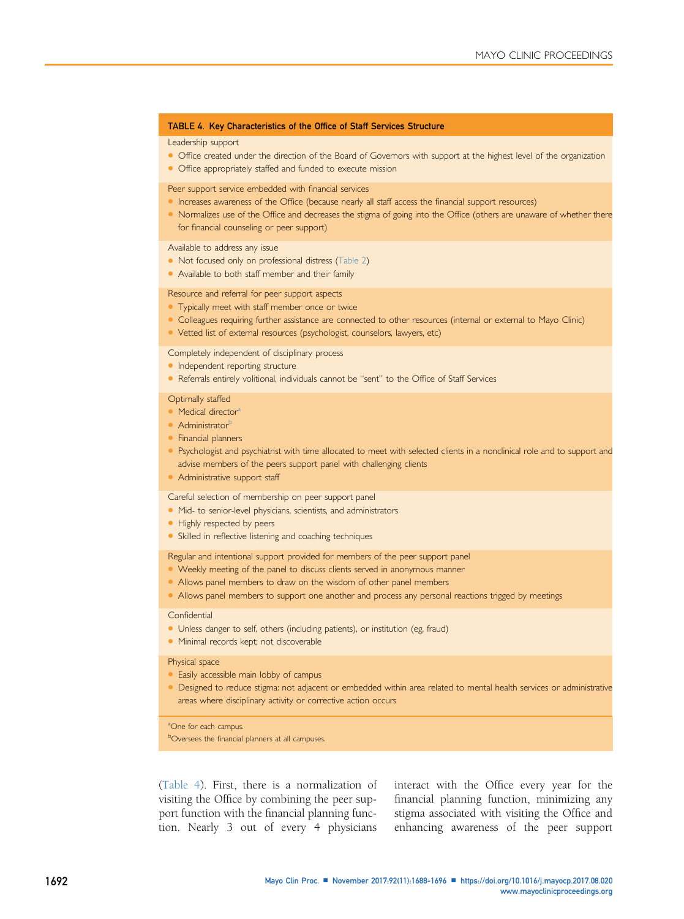## TABLE 4. Key Characteristics of the Office of Staff Services Structure

Leadership support

- Office created under the direction of the Board of Governors with support at the highest level of the organization
- Office appropriately staffed and funded to execute mission

Peer support service embedded with financial services

- Increases awareness of the Office (because nearly all staff access the financial support resources)
- Normalizes use of the Office and decreases the stigma of going into the Office (others are unaware of whether there for financial counseling or peer support)

Available to address any issue

- Not focused only on professional distress [\(Table 2\)](#page-3-0)
- Available to both staff member and their family

Resource and referral for peer support aspects

- Typically meet with staff member once or twice
- Colleagues requiring further assistance are connected to other resources (internal or external to Mayo Clinic)
- Vetted list of external resources (psychologist, counselors, lawyers, etc)

Completely independent of disciplinary process

- Independent reporting structure
- Referrals entirely volitional, individuals cannot be "sent" to the Office of Staff Services

Optimally staffed

- $\bullet$  Medical director<sup>a</sup>
- $\bullet$  Administrator<sup>b</sup>
- **•** Financial planners
- . Psychologist and psychiatrist with time allocated to meet with selected clients in a nonclinical role and to support and advise members of the peers support panel with challenging clients
- Administrative support staff

Careful selection of membership on peer support panel

- $\bullet$  Mid- to senior-level physicians, scientists, and administrators
- Highly respected by peers
- Skilled in reflective listening and coaching techniques

Regular and intentional support provided for members of the peer support panel

- Weekly meeting of the panel to discuss clients served in anonymous manner
- Allows panel members to draw on the wisdom of other panel members
- Allows panel members to support one another and process any personal reactions trigged by meetings

#### **Confidential**

- Unless danger to self, others (including patients), or institution (eg, fraud)
- $\bullet$  Minimal records kept; not discoverable

## Physical space

- Easily accessible main lobby of campus
- Designed to reduce stigma: not adjacent or embedded within area related to mental health services or administrative areas where disciplinary activity or corrective action occurs

<sup>a</sup>One for each campus.

<sup>b</sup>Oversees the financial planners at all campuses.

(Table 4). First, there is a normalization of visiting the Office by combining the peer support function with the financial planning function. Nearly 3 out of every 4 physicians

interact with the Office every year for the financial planning function, minimizing any stigma associated with visiting the Office and enhancing awareness of the peer support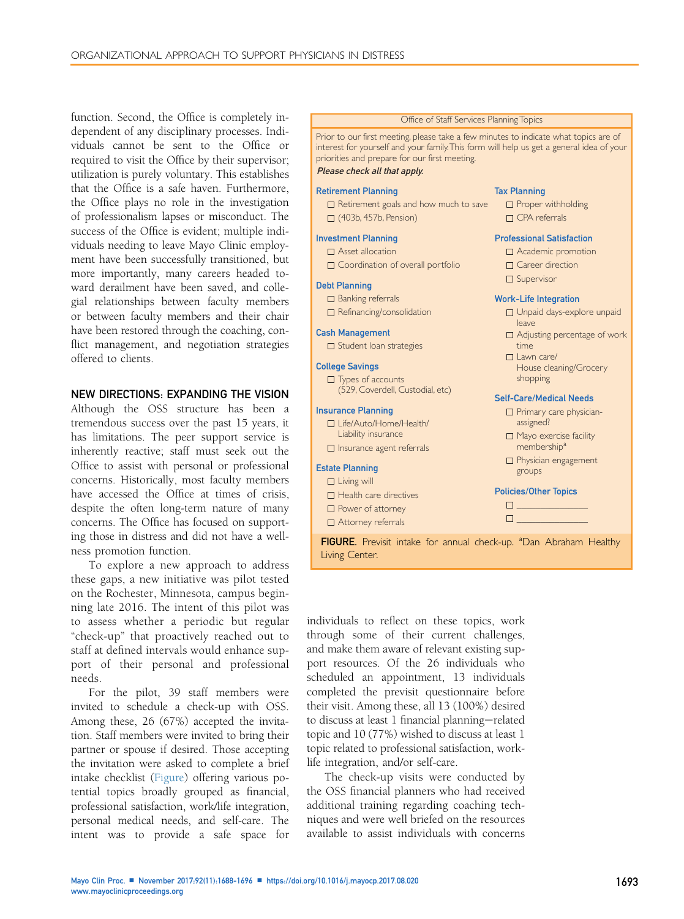function. Second, the Office is completely dependent of any disciplinary processes. In viduals cannot be sent to the Office required to visit the Office by their superviutilization is purely voluntary. This establis that the Office is a safe haven. Furtherm the Office plays no role in the investiga of professionalism lapses or misconduct. success of the Office is evident; multiple in viduals needing to leave Mayo Clinic emp ment have been successfully transitioned, more importantly, many careers headed ward derailment have been saved, and co gial relationships between faculty member or between faculty members and their c have been restored through the coaching, on flict management, and negotiation strate offered to clients.

## NEW DIRECTIONS: EXPANDING THE VIS

Although the OSS structure has been tremendous success over the past 15 year has limitations. The peer support servic inherently reactive; staff must seek out Office to assist with personal or profession concerns. Historically, most faculty members have accessed the Office at times of cridespite the often long-term nature of m concerns. The Office has focused on supp ing those in distress and did not have a v ness promotion function.

To explore a new approach to address these gaps, a new initiative was pilot tested on the Rochester, Minnesota, campus beginning late 2016. The intent of this pilot was to assess whether a periodic but regular "check-up" that proactively reached out to staff at defined intervals would enhance support of their personal and professional needs.

For the pilot, 39 staff members were invited to schedule a check-up with OSS. Among these, 26 (67%) accepted the invitation. Staff members were invited to bring their partner or spouse if desired. Those accepting the invitation were asked to complete a brief intake checklist (Figure) offering various potential topics broadly grouped as financial, professional satisfaction, work/life integration, personal medical needs, and self-care. The intent was to provide a safe space for

| ∕ in-       | Office of Staff Services Planning Topics                                                 |                                                   |  |
|-------------|------------------------------------------------------------------------------------------|---------------------------------------------------|--|
| ndi-        | Prior to our first meeting, please take a few minutes to indicate what topics are of     |                                                   |  |
| or          | interest for yourself and your family. This form will help us get a general idea of your |                                                   |  |
| isor;       | priorities and prepare for our first meeting.                                            |                                                   |  |
| shes        | Please check all that apply.                                                             |                                                   |  |
| ore,        | <b>Retirement Planning</b>                                                               | <b>Tax Planning</b>                               |  |
| tion        | $\Box$ Retirement goals and how much to save                                             | $\Box$ Proper withholding                         |  |
| The.        | $\Box$ (403b, 457b, Pension)                                                             | $\Box$ CPA referrals                              |  |
| ndi-        |                                                                                          | <b>Professional Satisfaction</b>                  |  |
| loy-        | <b>Investment Planning</b><br>$\Box$ Asset allocation                                    | □ Academic promotion                              |  |
| but         | □ Coordination of overall portfolio                                                      | $\Box$ Career direction                           |  |
| $\text{to}$ |                                                                                          | □ Supervisor                                      |  |
| olle-       | <b>Debt Planning</b>                                                                     |                                                   |  |
| bers        | $\Box$ Banking referrals                                                                 | <b>Work-Life Integration</b>                      |  |
| :hair       | □ Refinancing/consolidation                                                              | □ Unpaid days-explore unpaid                      |  |
| con-        | <b>Cash Management</b>                                                                   | leave<br>$\Box$ Adjusting percentage of work      |  |
| egies       | $\Box$ Student loan strategies                                                           | time.                                             |  |
|             |                                                                                          | $\Box$ I awn care/                                |  |
|             | <b>College Savings</b>                                                                   | House cleaning/Grocery                            |  |
|             | $\Box$ Types of accounts<br>(529, Coverdell, Custodial, etc)                             | shopping                                          |  |
| <b>ION</b>  |                                                                                          | <b>Self-Care/Medical Needs</b>                    |  |
| n a         | <b>Insurance Planning</b>                                                                | □ Primary care physician-                         |  |
| s, it       | □ Life/Auto/Home/Health/                                                                 | assigned?                                         |  |
| e is        | Liability insurance                                                                      | Mayo exercise facility<br>membership <sup>a</sup> |  |
| the         | $\Box$ Insurance agent referrals                                                         |                                                   |  |
| onal        | <b>Estate Planning</b>                                                                   | $\Box$ Physician engagement<br>groups             |  |
| bers        | $\Box$ Living will                                                                       |                                                   |  |
| isis.       | $\Box$ Health care directives                                                            | <b>Policies/Other Topics</b>                      |  |
| iany        | $\Box$ Power of attorney                                                                 | <b>Discovered A</b>                               |  |
| ort-        | $\Box$ Attorney referrals                                                                | $\Box$ , and the set of $\Box$                    |  |
| vell-       | FIGURE. Previsit intake for annual check-up. <sup>a</sup> Dan Abraham Healthy            |                                                   |  |
|             |                                                                                          |                                                   |  |

Living Center.

individuals to reflect on these topics, work through some of their current challenges, and make them aware of relevant existing support resources. Of the 26 individuals who scheduled an appointment, 13 individuals completed the previsit questionnaire before their visit. Among these, all 13 (100%) desired to discuss at least 1 financial planning-related topic and 10 (77%) wished to discuss at least 1 topic related to professional satisfaction, worklife integration, and/or self-care.

The check-up visits were conducted by the OSS financial planners who had received additional training regarding coaching techniques and were well briefed on the resources available to assist individuals with concerns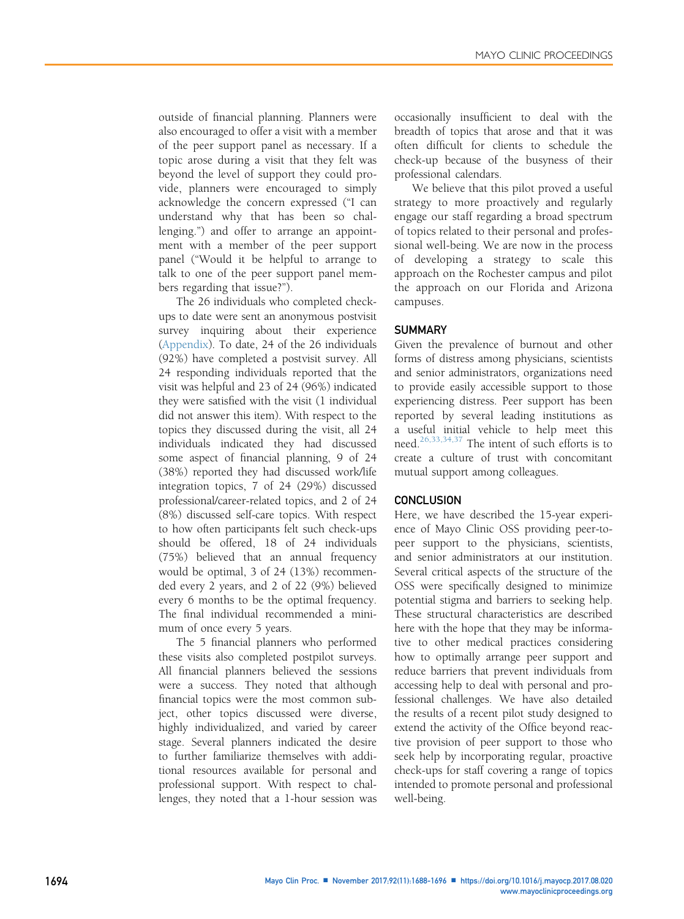outside of financial planning. Planners were also encouraged to offer a visit with a member of the peer support panel as necessary. If a topic arose during a visit that they felt was beyond the level of support they could provide, planners were encouraged to simply acknowledge the concern expressed ("I can understand why that has been so challenging.") and offer to arrange an appointment with a member of the peer support panel ("Would it be helpful to arrange to talk to one of the peer support panel members regarding that issue?").

The 26 individuals who completed checkups to date were sent an anonymous postvisit survey inquiring about their experience (Appendix). To date, 24 of the 26 individuals (92%) have completed a postvisit survey. All 24 responding individuals reported that the visit was helpful and 23 of 24 (96%) indicated they were satisfied with the visit (1 individual did not answer this item). With respect to the topics they discussed during the visit, all 24 individuals indicated they had discussed some aspect of financial planning, 9 of 24 (38%) reported they had discussed work/life integration topics, 7 of 24 (29%) discussed professional/career-related topics, and 2 of 24 (8%) discussed self-care topics. With respect to how often participants felt such check-ups should be offered, 18 of 24 individuals (75%) believed that an annual frequency would be optimal, 3 of 24 (13%) recommended every 2 years, and 2 of 22 (9%) believed every 6 months to be the optimal frequency. The final individual recommended a minimum of once every 5 years.

The 5 financial planners who performed these visits also completed postpilot surveys. All financial planners believed the sessions were a success. They noted that although financial topics were the most common subject, other topics discussed were diverse, highly individualized, and varied by career stage. Several planners indicated the desire to further familiarize themselves with additional resources available for personal and professional support. With respect to challenges, they noted that a 1-hour session was occasionally insufficient to deal with the breadth of topics that arose and that it was often difficult for clients to schedule the check-up because of the busyness of their professional calendars.

We believe that this pilot proved a useful strategy to more proactively and regularly engage our staff regarding a broad spectrum of topics related to their personal and professional well-being. We are now in the process of developing a strategy to scale this approach on the Rochester campus and pilot the approach on our Florida and Arizona campuses.

## **SUMMARY**

Given the prevalence of burnout and other forms of distress among physicians, scientists and senior administrators, organizations need to provide easily accessible support to those experiencing distress. Peer support has been reported by several leading institutions as a useful initial vehicle to help meet this need.[26,33,34,37](#page-8-0) The intent of such efforts is to create a culture of trust with concomitant mutual support among colleagues.

## CONCLUSION

Here, we have described the 15-year experience of Mayo Clinic OSS providing peer-topeer support to the physicians, scientists, and senior administrators at our institution. Several critical aspects of the structure of the OSS were specifically designed to minimize potential stigma and barriers to seeking help. These structural characteristics are described here with the hope that they may be informative to other medical practices considering how to optimally arrange peer support and reduce barriers that prevent individuals from accessing help to deal with personal and professional challenges. We have also detailed the results of a recent pilot study designed to extend the activity of the Office beyond reactive provision of peer support to those who seek help by incorporating regular, proactive check-ups for staff covering a range of topics intended to promote personal and professional well-being.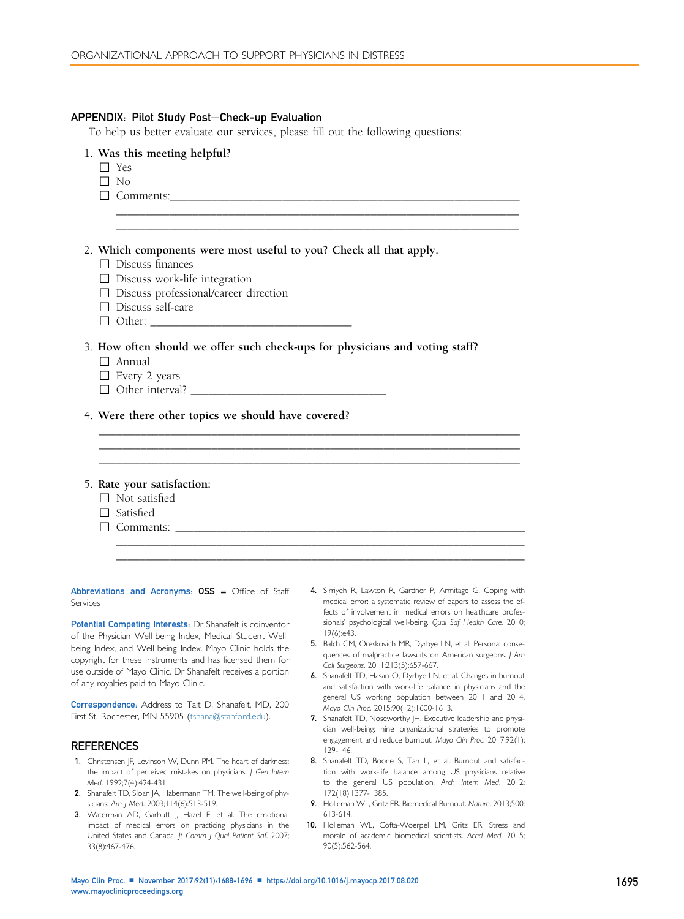## <span id="page-7-0"></span>APPENDIX: Pilot Study Post-Check-up Evaluation

To help us better evaluate our services, please fill out the following questions:

\_\_\_\_\_\_\_\_\_\_\_\_\_\_\_\_\_\_\_\_\_\_\_\_\_\_\_\_\_\_\_\_\_\_\_\_\_\_\_\_\_\_\_\_\_\_\_\_\_\_\_\_\_\_\_\_\_\_\_\_\_\_\_\_\_\_\_\_ \_\_\_\_\_\_\_\_\_\_\_\_\_\_\_\_\_\_\_\_\_\_\_\_\_\_\_\_\_\_\_\_\_\_\_\_\_\_\_\_\_\_\_\_\_\_\_\_\_\_\_\_\_\_\_\_\_\_\_\_\_\_\_\_\_\_\_\_

- 1. Was this meeting helpful?
	- $\Box$  Yes
	- $\Box$  No
	- $\Box$  Comments:

2. Which components were most useful to you? Check all that apply.

- $\Box$  Discuss finances
- $\Box$  Discuss work-life integration
- $\Box$  Discuss professional/career direction
- $\Box$  Discuss self-care
- $\Box$  Other:

3. How often should we offer such check-ups for physicians and voting staff?

\_\_\_\_\_\_\_\_\_\_\_\_\_\_\_\_\_\_\_\_\_\_\_\_\_\_\_\_\_\_\_\_\_\_\_\_\_\_\_\_\_\_\_\_\_\_\_\_\_\_\_\_\_\_\_\_\_\_\_\_\_\_\_\_\_\_\_\_\_\_\_ \_\_\_\_\_\_\_\_\_\_\_\_\_\_\_\_\_\_\_\_\_\_\_\_\_\_\_\_\_\_\_\_\_\_\_\_\_\_\_\_\_\_\_\_\_\_\_\_\_\_\_\_\_\_\_\_\_\_\_\_\_\_\_\_\_\_\_\_\_\_\_ \_\_\_\_\_\_\_\_\_\_\_\_\_\_\_\_\_\_\_\_\_\_\_\_\_\_\_\_\_\_\_\_\_\_\_\_\_\_\_\_\_\_\_\_\_\_\_\_\_\_\_\_\_\_\_\_\_\_\_\_\_\_\_\_\_\_\_\_\_\_\_

\_\_\_\_\_\_\_\_\_\_\_\_\_\_\_\_\_\_\_\_\_\_\_\_\_\_\_\_\_\_\_\_\_\_\_\_\_\_\_\_\_\_\_\_\_\_\_\_\_\_\_\_\_\_\_\_\_\_\_\_\_\_\_\_\_\_\_\_\_ \_\_\_\_\_\_\_\_\_\_\_\_\_\_\_\_\_\_\_\_\_\_\_\_\_\_\_\_\_\_\_\_\_\_\_\_\_\_\_\_\_\_\_\_\_\_\_\_\_\_\_\_\_\_\_\_\_\_\_\_\_\_\_\_\_\_\_\_\_

- $\Box$  Annual
- $\Box$  Every 2 years
- , Other interval? \_\_\_\_\_\_\_\_\_\_\_\_\_\_\_\_\_\_\_\_\_\_\_\_\_\_\_\_\_\_\_\_\_

4. Were there other topics we should have covered?

## 5. Rate your satisfaction:

- $\Box$  Not satisfied
- $\Box$  Satisfied
- $\Box$  Comments:

Abbreviations and Acronyms: OSS = Office of Staff Services

Potential Competing Interests: Dr Shanafelt is coinventor of the Physician Well-being Index, Medical Student Wellbeing Index, and Well-being Index. Mayo Clinic holds the copyright for these instruments and has licensed them for use outside of Mayo Clinic. Dr Shanafelt receives a portion of any royalties paid to Mayo Clinic.

Correspondence: Address to Tait D. Shanafelt, MD, 200 First St, Rochester, MN 55905 [\(tshana@stanford.edu\)](mailto:tshana@stanford.edu).

## **REFERENCES**

- 1. Christensen JF, Levinson W, Dunn PM. The heart of darkness: the impact of perceived mistakes on physicians. J Gen Intern Med. 1992;7(4):424-431.
- 2. Shanafelt TD, Sloan JA, Habermann TM. The well-being of physicians. Am J Med. 2003;114(6):513-519.
- 3. Waterman AD, Garbutt J, Hazel E, et al. The emotional impact of medical errors on practicing physicians in the United States and Canada. Jt Comm J Qual Patient Saf. 2007; 33(8):467-476.
- 4. Sirriyeh R, Lawton R, Gardner P, Armitage G. Coping with medical error: a systematic review of papers to assess the effects of involvement in medical errors on healthcare professionals' psychological well-being. Qual Saf Health Care. 2010; 19(6):e43.
- 5. Balch CM, Oreskovich MR, Dyrbye LN, et al. Personal consequences of malpractice lawsuits on American surgeons. J Am Coll Surgeons. 2011;213(5):657-667.
- 6. Shanafelt TD, Hasan O, Dyrbye LN, et al. Changes in burnout and satisfaction with work-life balance in physicians and the general US working population between 2011 and 2014. Mayo Clin Proc. 2015;90(12):1600-1613.
- 7. Shanafelt TD, Noseworthy JH. Executive leadership and physician well-being: nine organizational strategies to promote engagement and reduce burnout. Mayo Clin Proc. 2017;92(1): 129-146.
- 8. Shanafelt TD, Boone S, Tan L, et al. Burnout and satisfaction with work-life balance among US physicians relative to the general US population. Arch Intern Med. 2012; 172(18):1377-1385.
- 9. Holleman WL, Gritz ER. Biomedical Burnout. Nature. 2013;500: 613-614.
- 10. Holleman WL, Cofta-Woerpel LM, Gritz ER. Stress and morale of academic biomedical scientists. Acad Med. 2015; 90(5):562-564.